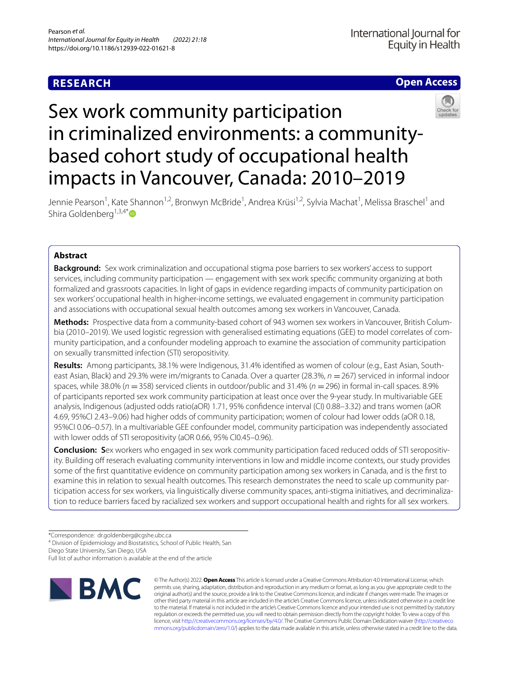# **RESEARCH**

## **Open Access**



# Sex work community participation in criminalized environments: a communitybased cohort study of occupational health impacts in Vancouver, Canada: 2010–2019

Jennie Pearson<sup>1</sup>, Kate Shannon<sup>1,2</sup>, Bronwyn McBride<sup>1</sup>, Andrea Krüsi<sup>1,2</sup>, Sylvia Machat<sup>1</sup>, Melissa Braschel<sup>1</sup> and Shira Goldenberg<sup>1,3,4[\\*](http://orcid.org/0000-0003-1633-9749)</sup> $\bullet$ 

## **Abstract**

**Background:** Sex work criminalization and occupational stigma pose barriers to sex workers' access to support services, including community participation — engagement with sex work specifc community organizing at both formalized and grassroots capacities. In light of gaps in evidence regarding impacts of community participation on sex workers' occupational health in higher-income settings, we evaluated engagement in community participation and associations with occupational sexual health outcomes among sex workers in Vancouver, Canada.

**Methods:** Prospective data from a community-based cohort of 943 women sex workers in Vancouver, British Columbia (2010–2019). We used logistic regression with generalised estimating equations (GEE) to model correlates of community participation, and a confounder modeling approach to examine the association of community participation on sexually transmitted infection (STI) seropositivity.

**Results:** Among participants, 38.1% were Indigenous, 31.4% identifed as women of colour (e.g., East Asian, Southeast Asian, Black) and 29.3% were im/migrants to Canada. Over a quarter (28.3%, *n* = 267) serviced in informal indoor spaces, while 38.0% (*n* =358) serviced clients in outdoor/public and 31.4% (*n* =296) in formal in-call spaces. 8.9% of participants reported sex work community participation at least once over the 9-year study. In multivariable GEE analysis, Indigenous (adjusted odds ratio(aOR) 1.71, 95% confdence interval (CI) 0.88–3.32) and trans women (aOR 4.69, 95%CI 2.43–9.06) had higher odds of community participation; women of colour had lower odds (aOR 0.18, 95%CI 0.06–0.57). In a multivariable GEE confounder model, community participation was independently associated with lower odds of STI seropositivity (aOR 0.66, 95% CI0.45–0.96).

**Conclusion: S**ex workers who engaged in sex work community participation faced reduced odds of STI seropositivity. Building off reserach evaluating community interventions in low and middle income contexts, our study provides some of the frst quantitative evidence on community participation among sex workers in Canada, and is the frst to examine this in relation to sexual health outcomes. This research demonstrates the need to scale up community participation access for sex workers, via linguistically diverse community spaces, anti-stigma initiatives, and decriminalization to reduce barriers faced by racialized sex workers and support occupational health and rights for all sex workers.

Diego State University, San Diego, USA

Full list of author information is available at the end of the article



© The Author(s) 2022. **Open Access** This article is licensed under a Creative Commons Attribution 4.0 International License, which permits use, sharing, adaptation, distribution and reproduction in any medium or format, as long as you give appropriate credit to the original author(s) and the source, provide a link to the Creative Commons licence, and indicate if changes were made. The images or other third party material in this article are included in the article's Creative Commons licence, unless indicated otherwise in a credit line to the material. If material is not included in the article's Creative Commons licence and your intended use is not permitted by statutory regulation or exceeds the permitted use, you will need to obtain permission directly from the copyright holder. To view a copy of this licence, visit [http://creativecommons.org/licenses/by/4.0/.](http://creativecommons.org/licenses/by/4.0/) The Creative Commons Public Domain Dedication waiver ([http://creativeco](http://creativecommons.org/publicdomain/zero/1.0/) [mmons.org/publicdomain/zero/1.0/](http://creativecommons.org/publicdomain/zero/1.0/)) applies to the data made available in this article, unless otherwise stated in a credit line to the data.

<sup>\*</sup>Correspondence: dr.goldenberg@cgshe.ubc.ca

<sup>&</sup>lt;sup>4</sup> Division of Epidemiology and Biostatistics, School of Public Health, San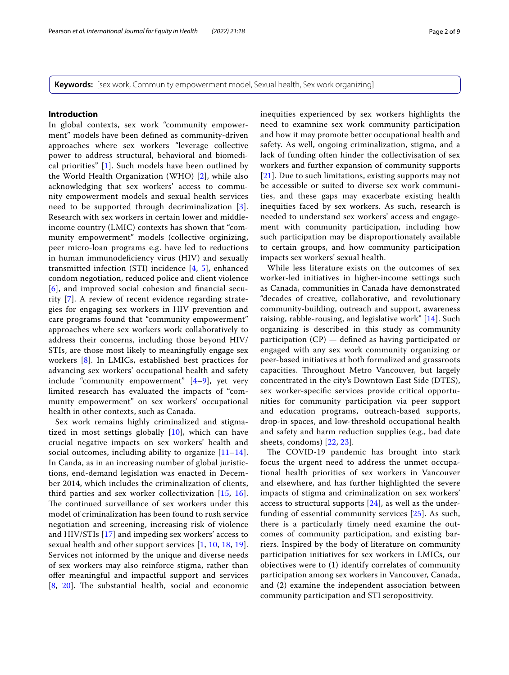**Keywords:** [sex work, Community empowerment model, Sexual health, Sex work organizing]

## **Introduction**

In global contexts, sex work "community empowerment" models have been defned as community-driven approaches where sex workers "leverage collective power to address structural, behavioral and biomedical priorities" [[1](#page-7-0)]. Such models have been outlined by the World Health Organization (WHO) [[2\]](#page-8-0), while also acknowledging that sex workers' access to community empowerment models and sexual health services need to be supported through decriminalization [[3\]](#page-8-1). Research with sex workers in certain lower and middleincome country (LMIC) contexts has shown that "community empowerment" models (collective orginizing, peer micro-loan programs e.g. have led to reductions in human immunodefciency virus (HIV) and sexually transmitted infection (STI) incidence [\[4,](#page-8-2) [5\]](#page-8-3), enhanced condom negotiation, reduced police and client violence [[6](#page-8-4)], and improved social cohesion and fnancial security [[7\]](#page-8-5). A review of recent evidence regarding strategies for engaging sex workers in HIV prevention and care programs found that "community empowerment" approaches where sex workers work collaboratively to address their concerns, including those beyond HIV/ STIs, are those most likely to meaningfully engage sex workers [[8](#page-8-6)]. In LMICs, established best practices for advancing sex workers' occupational health and safety include "community empowerment" [[4–](#page-8-2)[9\]](#page-8-7), yet very limited research has evaluated the impacts of "community empowerment" on sex workers' occupational health in other contexts, such as Canada.

Sex work remains highly criminalized and stigmatized in most settings globally  $[10]$ , which can have crucial negative impacts on sex workers' health and social outcomes, including ability to organize  $[11-14]$  $[11-14]$ . In Canda, as in an increasing number of global juristictions, end-demand legislation was enacted in December 2014, which includes the criminalization of clients, third parties and sex worker collectivization [\[15](#page-8-11), [16\]](#page-8-12). The continued surveillance of sex workers under this model of criminalization has been found to rush service negotiation and screening, increasing risk of violence and HIV/STIs [[17](#page-8-13)] and impeding sex workers' access to sexual health and other support services [[1](#page-7-0), [10](#page-8-8), [18,](#page-8-14) [19\]](#page-8-15). Services not informed by the unique and diverse needs of sex workers may also reinforce stigma, rather than ofer meaningful and impactful support and services  $[8, 20]$  $[8, 20]$  $[8, 20]$  $[8, 20]$ . The substantial health, social and economic inequities experienced by sex workers highlights the need to examnine sex work community participation and how it may promote better occupational health and safety. As well, ongoing criminalization, stigma, and a lack of funding often hinder the collectivisation of sex workers and further expansion of community supports [[21](#page-8-17)]. Due to such limitations, existing supports may not be accessible or suited to diverse sex work communities, and these gaps may exacerbate existing health inequities faced by sex workers. As such, research is needed to understand sex workers' access and engagement with community participation, including how such participation may be disproportionately available to certain groups, and how community participation impacts sex workers' sexual health.

While less literature exists on the outcomes of sex worker-led initiatives in higher-income settings such as Canada, communities in Canada have demonstrated "decades of creative, collaborative, and revolutionary community-building, outreach and support, awareness raising, rabble-rousing, and legislative work" [[14\]](#page-8-10). Such organizing is described in this study as community participation (CP) — defned as having participated or engaged with any sex work community organizing or peer-based initiatives at both formalized and grassroots capacities. Throughout Metro Vancouver, but largely concentrated in the city's Downtown East Side (DTES), sex worker-specifc services provide critical opportunities for community participation via peer support and education programs, outreach-based supports, drop-in spaces, and low-threshold occupational health and safety and harm reduction supplies (e.g., bad date sheets, condoms) [[22,](#page-8-18) [23\]](#page-8-19).

The COVID-19 pandemic has brought into stark focus the urgent need to address the unmet occupational health priorities of sex workers in Vancouver and elsewhere, and has further highlighted the severe impacts of stigma and criminalization on sex workers' access to structural supports [[24\]](#page-8-20), as well as the underfunding of essential community services [\[25\]](#page-8-21). As such, there is a particularly timely need examine the outcomes of community participation, and existing barriers. Inspired by the body of literature on community participation initiatives for sex workers in LMICs, our objectives were to (1) identify correlates of community participation among sex workers in Vancouver, Canada, and (2) examine the independent association between community participation and STI seropositivity.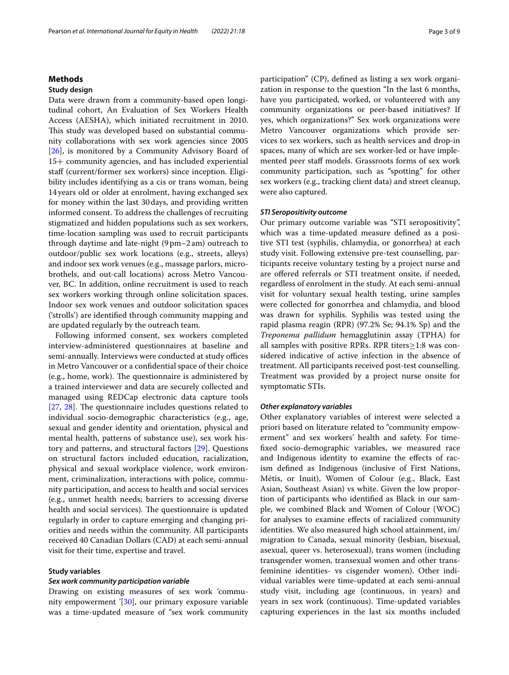## **Methods**

## **Study design**

Data were drawn from a community-based open longitudinal cohort, An Evaluation of Sex Workers Health Access (AESHA), which initiated recruitment in 2010. This study was developed based on substantial community collaborations with sex work agencies since 2005 [[26\]](#page-8-22), is monitored by a Community Advisory Board of 15+ community agencies, and has included experiential staff (current/former sex workers) since inception. Eligibility includes identifying as a cis or trans woman, being 14years old or older at enrolment, having exchanged sex for money within the last 30days, and providing written informed consent. To address the challenges of recruiting stigmatized and hidden populations such as sex workers, time-location sampling was used to recruit participants through daytime and late-night (9pm–2am) outreach to outdoor/public sex work locations (e.g., streets, alleys) and indoor sex work venues (e.g., massage parlors, microbrothels, and out-call locations) across Metro Vancouver, BC. In addition, online recruitment is used to reach sex workers working through online solicitation spaces. Indoor sex work venues and outdoor solicitation spaces ('strolls') are identifed through community mapping and are updated regularly by the outreach team.

Following informed consent, sex workers completed interview-administered questionnaires at baseline and semi-annually. Interviews were conducted at study offices in Metro Vancouver or a confdential space of their choice (e.g., home, work). The questionnaire is administered by a trained interviewer and data are securely collected and managed using REDCap electronic data capture tools  $[27, 28]$  $[27, 28]$  $[27, 28]$  $[27, 28]$ . The questionnaire includes questions related to individual socio-demographic characteristics (e.g., age, sexual and gender identity and orientation, physical and mental health, patterns of substance use), sex work history and patterns, and structural factors [\[29](#page-8-25)]. Questions on structural factors included education, racialization, physical and sexual workplace violence, work environment, criminalization, interactions with police, community participation, and access to health and social services (e.g., unmet health needs; barriers to accessing diverse health and social services). The questionnaire is updated regularly in order to capture emerging and changing priorities and needs within the community. All participants received 40 Canadian Dollars (CAD) at each semi-annual visit for their time, expertise and travel.

## **Study variables**

## *Sex work community participation variable*

Drawing on existing measures of sex work 'community empowerment '[[30](#page-8-26)], our primary exposure variable was a time-updated measure of "sex work community participation" (CP), defned as listing a sex work organization in response to the question "In the last 6 months, have you participated, worked, or volunteered with any community organizations or peer-based initiatives? If yes, which organizations?" Sex work organizations were Metro Vancouver organizations which provide services to sex workers, such as health services and drop-in spaces, many of which are sex worker-led or have implemented peer staff models. Grassroots forms of sex work community participation, such as "spotting" for other sex workers (e.g., tracking client data) and street cleanup, were also captured.

## *STI Seropositivity outcome*

Our primary outcome variable was "STI seropositivity", which was a time-updated measure defned as a positive STI test (syphilis, chlamydia, or gonorrhea) at each study visit. Following extensive pre-test counselling, participants receive voluntary testing by a project nurse and are offered referrals or STI treatment onsite, if needed, regardless of enrolment in the study. At each semi-annual visit for voluntary sexual health testing, urine samples were collected for gonorrhea and chlamydia, and blood was drawn for syphilis. Syphilis was tested using the rapid plasma reagin (RPR) (97.2% Se; 94.1% Sp) and the *Treponema pallidum* hemagglutinin assay (TPHA) for all samples with positive RPRs. RPR titers≥1:8 was considered indicative of active infection in the absence of treatment. All participants received post-test counselling. Treatment was provided by a project nurse onsite for symptomatic STIs.

## *Other explanatory variables*

Other explanatory variables of interest were selected a priori based on literature related to "community empowerment" and sex workers' health and safety. For timefxed socio-demographic variables, we measured race and Indigenous identity to examine the efects of racism defned as Indigenous (inclusive of First Nations, Métis, or Inuit), Women of Colour (e.g., Black, East Asian, Southeast Asian) vs white. Given the low proportion of participants who identifed as Black in our sample, we combined Black and Women of Colour (WOC) for analyses to examine efects of racialized community identities. We also measured high school attainment, im/ migration to Canada, sexual minority (lesbian, bisexual, asexual, queer vs. heterosexual), trans women (including transgender women, transexual women and other transfeminine identities- vs cisgender women). Other individual variables were time-updated at each semi-annual study visit, including age (continuous, in years) and years in sex work (continuous). Time-updated variables capturing experiences in the last six months included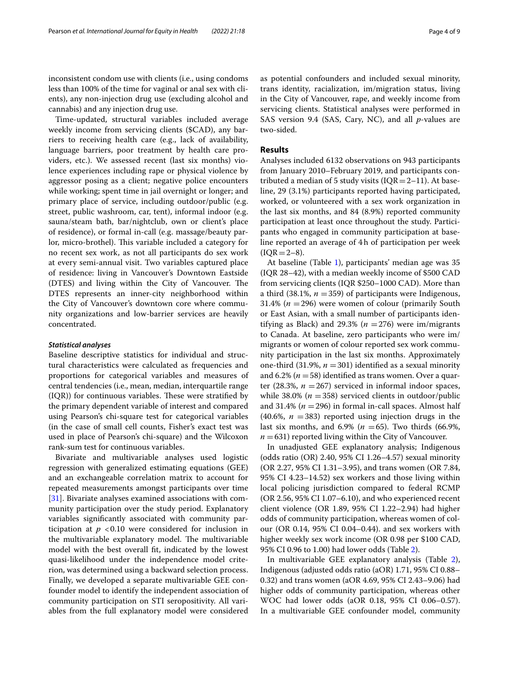inconsistent condom use with clients (i.e., using condoms less than 100% of the time for vaginal or anal sex with clients), any non-injection drug use (excluding alcohol and cannabis) and any injection drug use.

Time-updated, structural variables included average weekly income from servicing clients (\$CAD), any barriers to receiving health care (e.g., lack of availability, language barriers, poor treatment by health care providers, etc.). We assessed recent (last six months) violence experiences including rape or physical violence by aggressor posing as a client; negative police encounters while working; spent time in jail overnight or longer; and primary place of service, including outdoor/public (e.g. street, public washroom, car, tent), informal indoor (e.g. sauna/steam bath, bar/nightclub, own or client's place of residence), or formal in-call (e.g. massage/beauty parlor, micro-brothel). This variable included a category for no recent sex work, as not all participants do sex work at every semi-annual visit. Two variables captured place of residence: living in Vancouver's Downtown Eastside (DTES) and living within the City of Vancouver. The DTES represents an inner-city neighborhood within the City of Vancouver's downtown core where community organizations and low-barrier services are heavily concentrated.

## *Statistical analyses*

Baseline descriptive statistics for individual and structural characteristics were calculated as frequencies and proportions for categorical variables and measures of central tendencies (i.e., mean, median, interquartile range  $(IQR)$ ) for continuous variables. These were stratified by the primary dependent variable of interest and compared using Pearson's chi-square test for categorical variables (in the case of small cell counts, Fisher's exact test was used in place of Pearson's chi-square) and the Wilcoxon rank-sum test for continuous variables.

Bivariate and multivariable analyses used logistic regression with generalized estimating equations (GEE) and an exchangeable correlation matrix to account for repeated measurements amongst participants over time [[31\]](#page-8-27). Bivariate analyses examined associations with community participation over the study period. Explanatory variables signifcantly associated with community participation at  $p < 0.10$  were considered for inclusion in the multivariable explanatory model. The multivariable model with the best overall ft, indicated by the lowest quasi-likelihood under the independence model criterion, was determined using a backward selection process. Finally, we developed a separate multivariable GEE confounder model to identify the independent association of community participation on STI seropositivity. All variables from the full explanatory model were considered as potential confounders and included sexual minority, trans identity, racialization, im/migration status, living in the City of Vancouver, rape, and weekly income from servicing clients. Statistical analyses were performed in SAS version 9.4 (SAS, Cary, NC), and all *p*-values are two-sided.

## **Results**

Analyses included 6132 observations on 943 participants from January 2010–February 2019, and participants contributed a median of 5 study visits ( $IQR = 2-11$ ). At baseline, 29 (3.1%) participants reported having participated, worked, or volunteered with a sex work organization in the last six months, and 84 (8.9%) reported community participation at least once throughout the study. Participants who engaged in community participation at baseline reported an average of 4h of participation per week  $(IQR = 2-8).$ 

At baseline (Table [1](#page-4-0)), participants' median age was 35 (IQR 28–42), with a median weekly income of \$500 CAD from servicing clients (IQR \$250–1000 CAD). More than a third  $(38.1\%, n = 359)$  of participants were Indigenous, 31.4% (*n* =296) were women of colour (primarily South or East Asian, with a small number of participants identifying as Black) and 29.3% ( $n = 276$ ) were im/migrants to Canada. At baseline, zero participants who were im/ migrants or women of colour reported sex work community participation in the last six months. Approximately one-third (31.9%,  $n = 301$ ) identified as a sexual minority and  $6.2\%$  ( $n = 58$ ) identified as trans women. Over a quarter  $(28.3\%, n = 267)$  serviced in informal indoor spaces, while  $38.0\%$  ( $n = 358$ ) serviced clients in outdoor/public and 31.4%  $(n = 296)$  in formal in-call spaces. Almost half (40.6%,  $n = 383$ ) reported using injection drugs in the last six months, and  $6.9\%$  ( $n = 65$ ). Two thirds (66.9%,  $n = 631$ ) reported living within the City of Vancouver.

In unadjusted GEE explanatory analysis; Indigenous (odds ratio (OR) 2.40, 95% CI 1.26–4.57) sexual minority (OR 2.27, 95% CI 1.31–3.95), and trans women (OR 7.84, 95% CI 4.23–14.52) sex workers and those living within local policing jurisdiction compared to federal RCMP (OR 2.56, 95% CI 1.07–6.10), and who experienced recent client violence (OR 1.89, 95% CI 1.22–2.94) had higher odds of community participation, whereas women of colour (OR 0.14, 95% CI 0.04–0.44). and sex workers with higher weekly sex work income (OR 0.98 per \$100 CAD, 95% CI 0.96 to 1.00) had lower odds (Table [2](#page-5-0)).

In multivariable GEE explanatory analysis (Table [2](#page-5-0)), Indigenous (adjusted odds ratio (aOR) 1.71, 95% CI 0.88– 0.32) and trans women (aOR 4.69, 95% CI 2.43–9.06) had higher odds of community participation, whereas other WOC had lower odds (aOR 0.18, 95% CI 0.06–0.57). In a multivariable GEE confounder model, community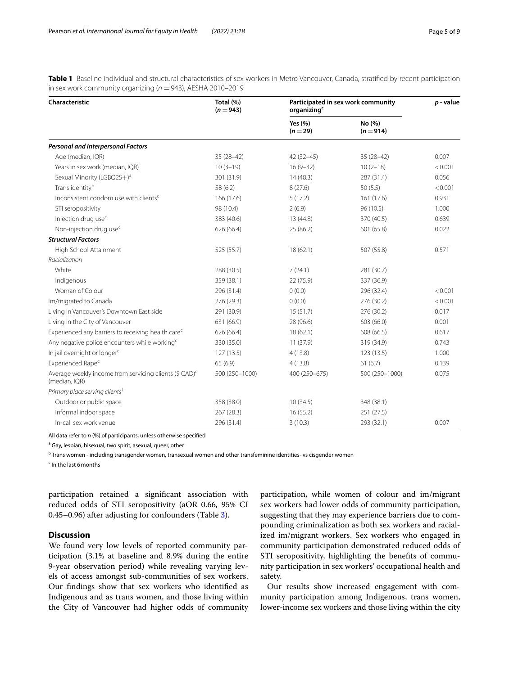<span id="page-4-0"></span>**Table 1** Baseline individual and structural characteristics of sex workers in Metro Vancouver, Canada, stratifed by recent participation in sex work community organizing ( $n = 943$ ), AESHA 2010–2019

| Characteristic                                                                      | Total (%)<br>$(n = 943)$ | Participated in sex work community<br>organizing <sup>c</sup> |                       | $p$ - value |
|-------------------------------------------------------------------------------------|--------------------------|---------------------------------------------------------------|-----------------------|-------------|
|                                                                                     |                          | Yes $(% )$<br>$(n = 29)$                                      | No (%)<br>$(n = 914)$ |             |
| Personal and Interpersonal Factors                                                  |                          |                                                               |                       |             |
| Age (median, IQR)                                                                   | $35(28-42)$              | $42(32-45)$                                                   | $35(28-42)$           | 0.007       |
| Years in sex work (median, IQR)                                                     | $10(3-19)$               | $16(9 - 32)$                                                  | $10(2-18)$            | < 0.001     |
| Sexual Minority (LGBQ2S+) <sup>a</sup>                                              | 301 (31.9)               | 14(48.3)                                                      | 287 (31.4)            | 0.056       |
| Trans identity <sup>b</sup>                                                         | 58 (6.2)                 | 8(27.6)                                                       | 50(5.5)               | < 0.001     |
| Inconsistent condom use with clients <sup>c</sup>                                   | 166 (17.6)               | 5(17.2)                                                       | 161 (17.6)            | 0.931       |
| STI seropositivity                                                                  | 98 (10.4)                | 2(6.9)                                                        | 96 (10.5)             | 1.000       |
| Injection drug use <sup>c</sup>                                                     | 383 (40.6)               | 13(44.8)                                                      | 370 (40.5)            | 0.639       |
| Non-injection drug use <sup>c</sup>                                                 | 626 (66.4)               | 25 (86.2)                                                     | 601 (65.8)            | 0.022       |
| <b>Structural Factors</b>                                                           |                          |                                                               |                       |             |
| High School Attainment                                                              | 525 (55.7)               | 18(62.1)                                                      | 507 (55.8)            | 0.571       |
| Racialization                                                                       |                          |                                                               |                       |             |
| White                                                                               | 288 (30.5)               | 7(24.1)                                                       | 281 (30.7)            |             |
| Indigenous                                                                          | 359 (38.1)               | 22 (75.9)                                                     | 337 (36.9)            |             |
| Woman of Colour                                                                     | 296 (31.4)               | 0(0.0)                                                        | 296 (32.4)            | < 0.001     |
| Im/migrated to Canada                                                               | 276 (29.3)               | 0(0.0)                                                        | 276 (30.2)            | < 0.001     |
| Living in Vancouver's Downtown East side                                            | 291 (30.9)               | 15(51.7)                                                      | 276 (30.2)            | 0.017       |
| Living in the City of Vancouver                                                     | 631 (66.9)               | 28 (96.6)                                                     | 603 (66.0)            | 0.001       |
| Experienced any barriers to receiving health care <sup>c</sup>                      | 626 (66.4)               | 18(62.1)                                                      | 608 (66.5)            | 0.617       |
| Any negative police encounters while working <sup>c</sup>                           | 330 (35.0)               | 11(37.9)                                                      | 319 (34.9)            | 0.743       |
| In jail overnight or longer <sup>c</sup>                                            | 127(13.5)                | 4(13.8)                                                       | 123 (13.5)            | 1.000       |
| Experienced Rape <sup>c</sup>                                                       | 65(6.9)                  | 4(13.8)                                                       | 61(6.7)               | 0.139       |
| Average weekly income from servicing clients (\$ CAD) <sup>c</sup><br>(median, IQR) | 500 (250-1000)           | 400 (250-675)                                                 | 500 (250-1000)        | 0.075       |
| Primary place serving clients <sup>+</sup>                                          |                          |                                                               |                       |             |
| Outdoor or public space                                                             | 358 (38.0)               | 10(34.5)                                                      | 348 (38.1)            |             |
| Informal indoor space                                                               | 267 (28.3)               | 16(55.2)                                                      | 251(27.5)             |             |
| In-call sex work venue                                                              | 296 (31.4)               | 3(10.3)                                                       | 293 (32.1)            | 0.007       |

All data refer to *n* (%) of participants, unless otherwise specifed

<sup>a</sup> Gay, lesbian, bisexual, two spirit, asexual, queer, other

<sup>b</sup> Trans women - including transgender women, transexual women and other transfeminine identities- vs cisgender women

<sup>c</sup> In the last 6 months

participation retained a signifcant association with reduced odds of STI seropositivity (aOR 0.66, 95% CI 0.45–0.96) after adjusting for confounders (Table [3](#page-5-1)).

## **Discussion**

We found very low levels of reported community participation (3.1% at baseline and 8.9% during the entire 9-year observation period) while revealing varying levels of access amongst sub-communities of sex workers. Our fndings show that sex workers who identifed as Indigenous and as trans women, and those living within the City of Vancouver had higher odds of community

participation, while women of colour and im/migrant sex workers had lower odds of community participation, suggesting that they may experience barriers due to compounding criminalization as both sex workers and racialized im/migrant workers. Sex workers who engaged in community participation demonstrated reduced odds of STI seropositivity, highlighting the benefts of community participation in sex workers' occupational health and safety.

Our results show increased engagement with community participation among Indigenous, trans women, lower-income sex workers and those living within the city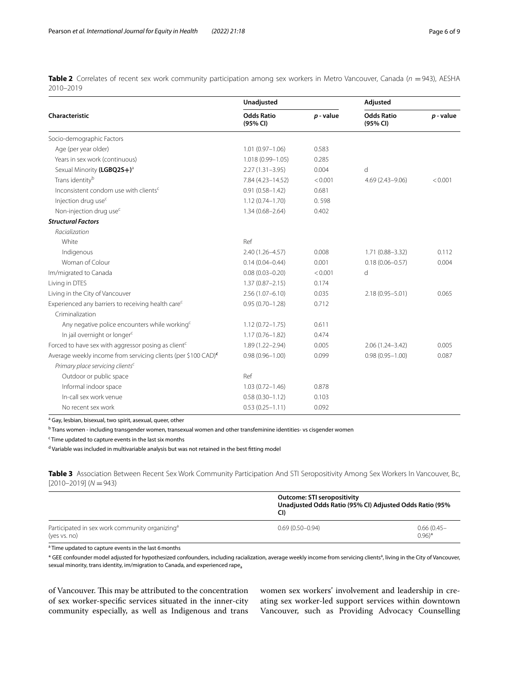<span id="page-5-0"></span>**Table 2** Correlates of recent sex work community participation among sex workers in Metro Vancouver, Canada (*n* = 943), AESHA 2010–2019

|                                                                           | Unadjusted                    |             | Adjusted                      |             |
|---------------------------------------------------------------------------|-------------------------------|-------------|-------------------------------|-------------|
| Characteristic                                                            | <b>Odds Ratio</b><br>(95% CI) | $p$ - value | <b>Odds Ratio</b><br>(95% CI) | $p$ - value |
| Socio-demographic Factors                                                 |                               |             |                               |             |
| Age (per year older)                                                      | $1.01(0.97 - 1.06)$           | 0.583       |                               |             |
| Years in sex work (continuous)                                            | 1.018 (0.99-1.05)             | 0.285       |                               |             |
| Sexual Minority (LGBQ2S+) <sup>a</sup>                                    | $2.27(1.31 - 3.95)$           | 0.004       | d                             |             |
| Trans identity <sup>b</sup>                                               | 7.84 (4.23-14.52)             | < 0.001     | $4.69(2.43 - 9.06)$           | < 0.001     |
| Inconsistent condom use with clients <sup>c</sup>                         | $0.91(0.58 - 1.42)$           | 0.681       |                               |             |
| Injection drug use <sup>c</sup>                                           | $1.12(0.74 - 1.70)$           | 0.598       |                               |             |
| Non-injection drug use <sup>c</sup>                                       | $1.34(0.68 - 2.64)$           | 0.402       |                               |             |
| <b>Structural Factors</b>                                                 |                               |             |                               |             |
| Racialization                                                             |                               |             |                               |             |
| White                                                                     | Ref                           |             |                               |             |
| Indigenous                                                                | 2.40 (1.26-4.57)              | 0.008       | $1.71(0.88 - 3.32)$           | 0.112       |
| Woman of Colour                                                           | $0.14(0.04 - 0.44)$           | 0.001       | $0.18(0.06 - 0.57)$           | 0.004       |
| Im/migrated to Canada                                                     | $0.08(0.03 - 0.20)$           | < 0.001     | d                             |             |
| Living in DTES                                                            | $1.37(0.87 - 2.15)$           | 0.174       |                               |             |
| Living in the City of Vancouver                                           | $2.56(1.07 - 6.10)$           | 0.035       | 2.18 (0.95-5.01)              | 0.065       |
| Experienced any barriers to receiving health care <sup>c</sup>            | $0.95(0.70 - 1.28)$           | 0.712       |                               |             |
| Criminalization                                                           |                               |             |                               |             |
| Any negative police encounters while working <sup>c</sup>                 | $1.12(0.72 - 1.75)$           | 0.611       |                               |             |
| In jail overnight or longer <sup>c</sup>                                  | $1.17(0.76 - 1.82)$           | 0.474       |                               |             |
| Forced to have sex with aggressor posing as client <sup>c</sup>           | $1.89(1.22 - 2.94)$           | 0.005       | $2.06(1.24 - 3.42)$           | 0.005       |
| Average weekly income from servicing clients (per \$100 CAD) <sup>c</sup> | $0.98(0.96 - 1.00)$           | 0.099       | $0.98(0.95 - 1.00)$           | 0.087       |
| Primary place servicing clients <sup>c</sup>                              |                               |             |                               |             |
| Outdoor or public space                                                   | Ref                           |             |                               |             |
| Informal indoor space                                                     | $1.03(0.72 - 1.46)$           | 0.878       |                               |             |
| In-call sex work venue                                                    | $0.58(0.30 - 1.12)$           | 0.103       |                               |             |
| No recent sex work                                                        | $0.53(0.25 - 1.11)$           | 0.092       |                               |             |

<sup>a</sup> Gay, lesbian, bisexual, two spirit, asexual, queer, other

<sup>b</sup> Trans women - including transgender women, transexual women and other transfeminine identities- vs cisgender women

<sup>c</sup> Time updated to capture events in the last six months

<sup>d</sup> Variable was included in multivariable analysis but was not retained in the best fitting model

<span id="page-5-1"></span>**Table 3** Association Between Recent Sex Work Community Participation And STI Seropositivity Among Sex Workers In Vancouver, Bc, [2010–2019] (*N* =943)

|                                                                            | <b>Outcome: STI seropositivity</b><br>Unadjusted Odds Ratio (95% CI) Adjusted Odds Ratio (95%<br>CI) |                             |  |
|----------------------------------------------------------------------------|------------------------------------------------------------------------------------------------------|-----------------------------|--|
| Participated in sex work community organizing <sup>a</sup><br>(yes vs. no) | $0.69(0.50 - 0.94)$                                                                                  | $0.66(0.45 -$<br>$(0.96)^*$ |  |

<sup>a</sup> Time updated to capture events in the last 6 months

\* GEE confounder model adjusted for hypothesized confounders, including racialization, average weekly income from servicing clients<sup>a</sup>, living in the City of Vancouver, sexual minority, trans identity, im/migration to Canada, and experienced rape<sub>a</sub>

of Vancouver. This may be attributed to the concentration of sex worker-specifc services situated in the inner-city community especially, as well as Indigenous and trans women sex workers' involvement and leadership in creating sex worker-led support services within downtown Vancouver, such as Providing Advocacy Counselling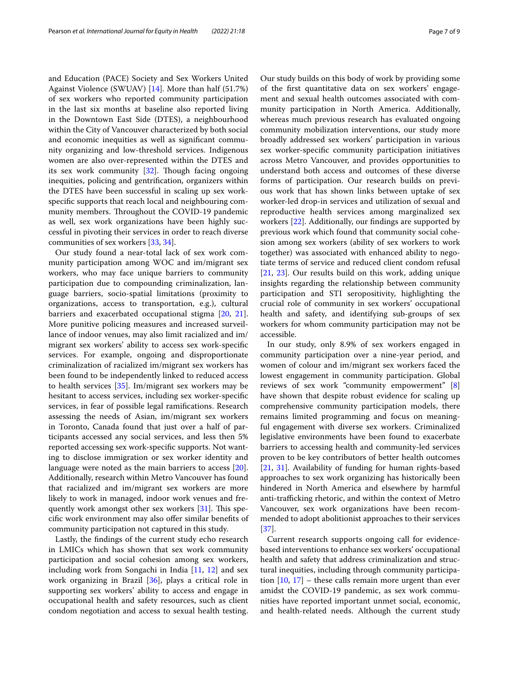and Education (PACE) Society and Sex Workers United Against Violence (SWUAV) [\[14\]](#page-8-10). More than half (51.7%) of sex workers who reported community participation in the last six months at baseline also reported living in the Downtown East Side (DTES), a neighbourhood within the City of Vancouver characterized by both social and economic inequities as well as signifcant community organizing and low-threshold services. Indigenous women are also over-represented within the DTES and its sex work community  $[32]$  $[32]$  $[32]$ . Though facing ongoing inequities, policing and gentrifcation, organizers within the DTES have been successful in scaling up sex workspecifc supports that reach local and neighbouring community members. Throughout the COVID-19 pandemic as well, sex work organizations have been highly successful in pivoting their services in order to reach diverse communities of sex workers [\[33](#page-8-29), [34\]](#page-8-30).

Our study found a near-total lack of sex work community participation among WOC and im/migrant sex workers, who may face unique barriers to community participation due to compounding criminalization, language barriers, socio-spatial limitations (proximity to organizations, access to transportation, e.g.), cultural barriers and exacerbated occupational stigma [[20](#page-8-16), [21](#page-8-17)]. More punitive policing measures and increased surveillance of indoor venues, may also limit racialized and im/ migrant sex workers' ability to access sex work-specifc services. For example, ongoing and disproportionate criminalization of racialized im/migrant sex workers has been found to be independently linked to reduced access to health services [\[35\]](#page-8-31). Im/migrant sex workers may be hesitant to access services, including sex worker-specifc services, in fear of possible legal ramifcations. Research assessing the needs of Asian, im/migrant sex workers in Toronto, Canada found that just over a half of participants accessed any social services, and less then 5% reported accessing sex work-specifc supports. Not wanting to disclose immigration or sex worker identity and language were noted as the main barriers to access [\[20](#page-8-16)]. Additionally, research within Metro Vancouver has found that racialized and im/migrant sex workers are more likely to work in managed, indoor work venues and frequently work amongst other sex workers  $[31]$  $[31]$ . This specifc work environment may also ofer similar benefts of community participation not captured in this study.

Lastly, the fndings of the current study echo research in LMICs which has shown that sex work community participation and social cohesion among sex workers, including work from Songachi in India [[11,](#page-8-9) [12](#page-8-32)] and sex work organizing in Brazil [[36](#page-8-33)], plays a critical role in supporting sex workers' ability to access and engage in occupational health and safety resources, such as client condom negotiation and access to sexual health testing.

Our study builds on this body of work by providing some of the frst quantitative data on sex workers' engagement and sexual health outcomes associated with community participation in North America. Additionally, whereas much previous research has evaluated ongoing community mobilization interventions, our study more broadly addressed sex workers' participation in various sex worker-specifc community participation initiatives across Metro Vancouver, and provides opportunities to understand both access and outcomes of these diverse forms of participation. Our research builds on previous work that has shown links between uptake of sex worker-led drop-in services and utilization of sexual and reproductive health services among marginalized sex workers [\[22](#page-8-18)]. Additionally, our fndings are supported by previous work which found that community social cohesion among sex workers (ability of sex workers to work together) was associated with enhanced ability to negotiate terms of service and reduced client condom refusal [[21,](#page-8-17) [23\]](#page-8-19). Our results build on this work, adding unique insights regarding the relationship between community participation and STI seropositivity, highlighting the crucial role of community in sex workers' occupational health and safety, and identifying sub-groups of sex workers for whom community participation may not be accessible.

In our study, only 8.9% of sex workers engaged in community participation over a nine-year period, and women of colour and im/migrant sex workers faced the lowest engagement in community participation. Global reviews of sex work "community empowerment" [\[8](#page-8-6)] have shown that despite robust evidence for scaling up comprehensive community participation models, there remains limited programming and focus on meaningful engagement with diverse sex workers. Criminalized legislative environments have been found to exacerbate barriers to accessing health and community-led services proven to be key contributors of better health outcomes [[21,](#page-8-17) [31\]](#page-8-27). Availability of funding for human rights-based approaches to sex work organizing has historically been hindered in North America and elsewhere by harmful anti-trafficking rhetoric, and within the context of Metro Vancouver, sex work organizations have been recommended to adopt abolitionist approaches to their services [[37\]](#page-8-34).

Current research supports ongoing call for evidencebased interventions to enhance sex workers' occupational health and safety that address criminalization and structural inequities, including through community participation  $[10, 17]$  $[10, 17]$  $[10, 17]$  $[10, 17]$  – these calls remain more urgent than ever amidst the COVID-19 pandemic, as sex work communities have reported important unmet social, economic, and health-related needs. Although the current study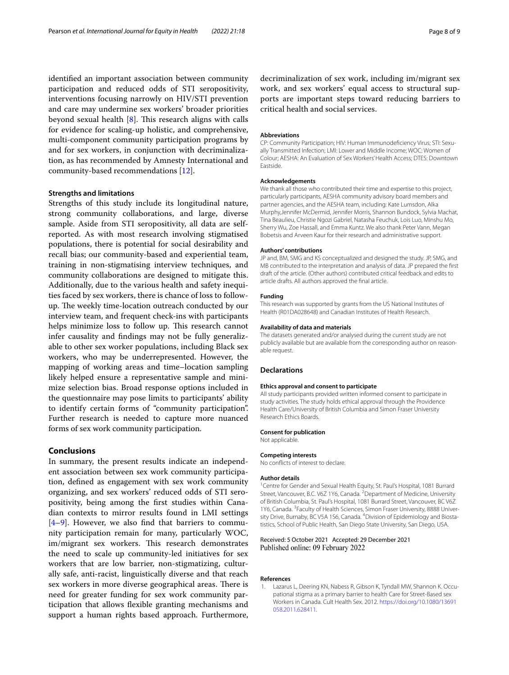identifed an important association between community participation and reduced odds of STI seropositivity, interventions focusing narrowly on HIV/STI prevention and care may undermine sex workers' broader priorities beyond sexual health  $[8]$  $[8]$ . This research aligns with calls for evidence for scaling-up holistic, and comprehensive, multi-component community participation programs by and for sex workers, in conjunction with decriminalization, as has recommended by Amnesty International and community-based recommendations [[12\]](#page-8-32).

## **Strengths and limitations**

Strengths of this study include its longitudinal nature, strong community collaborations, and large, diverse sample. Aside from STI seropositivity, all data are selfreported. As with most research involving stigmatised populations, there is potential for social desirability and recall bias; our community-based and experiential team, training in non-stigmatising interview techniques, and community collaborations are designed to mitigate this. Additionally, due to the various health and safety inequities faced by sex workers, there is chance of loss to followup. The weekly time-location outreach conducted by our interview team, and frequent check-ins with participants helps minimize loss to follow up. This research cannot infer causality and fndings may not be fully generalizable to other sex worker populations, including Black sex workers, who may be underrepresented. However, the mapping of working areas and time–location sampling likely helped ensure a representative sample and minimize selection bias. Broad response options included in the questionnaire may pose limits to participants' ability to identify certain forms of "community participation". Further research is needed to capture more nuanced forms of sex work community participation.

## **Conclusions**

In summary, the present results indicate an independent association between sex work community participation, defned as engagement with sex work community organizing, and sex workers' reduced odds of STI seropositivity, being among the frst studies within Canadian contexts to mirror results found in LMI settings [[4–](#page-8-2)[9\]](#page-8-7). However, we also fnd that barriers to community participation remain for many, particularly WOC, im/migrant sex workers. This research demonstrates the need to scale up community-led initiatives for sex workers that are low barrier, non-stigmatizing, culturally safe, anti-racist, linguistically diverse and that reach sex workers in more diverse geographical areas. There is need for greater funding for sex work community participation that allows fexible granting mechanisms and support a human rights based approach. Furthermore,

decriminalization of sex work, including im/migrant sex work, and sex workers' equal access to structural supports are important steps toward reducing barriers to critical health and social services.

#### **Abbreviations**

CP: Community Participation; HIV: Human Immunodefciency Virus; STI: Sexually Transmitted Infection; LMI: Lower and Middle Income; WOC: Women of Colour; AESHA: An Evaluation of Sex Workers' Health Access; DTES: Downtown Eastside.

#### **Acknowledgements**

We thank all those who contributed their time and expertise to this project, particularly participants, AESHA community advisory board members and partner agencies, and the AESHA team, including: Kate Lumsdon, Alka Murphy,Jennifer McDermid, Jennifer Morris, Shannon Bundock, Sylvia Machat, Tina Beaulieu, Christie Ngozi Gabriel, Natasha Feuchuk, Lois Luo, Minshu Mo, Sherry Wu, Zoe Hassall, and Emma Kuntz. We also thank Peter Vann, Megan Bobetsis and Arveen Kaur for their research and administrative support.

#### **Authors' contributions**

JP and, BM, SMG and KS conceptualized and designed the study. JP, SMG, and MB contributed to the interpretation and analysis of data. JP prepared the frst draft of the article. (Other authors) contributed critical feedback and edits to article drafts. All authors approved the fnal article.

#### **Funding**

This research was supported by grants from the US National Institutes of Health (R01DA028648) and Canadian Institutes of Health Research.

#### **Availability of data and materials**

The datasets generated and/or analysed during the current study are not publicly available but are available from the corresponding author on reasonable request.

## **Declarations**

#### **Ethics approval and consent to participate**

All study participants provided written informed consent to participate in study activities. The study holds ethical approval through the Providence Health Care/University of British Columbia and Simon Fraser University Research Ethics Boards.

#### **Consent for publication**

Not applicable.

#### **Competing interests**

No conficts of interest to declare.

## **Author details**

<sup>1</sup> Centre for Gender and Sexual Health Equity, St. Paul's Hospital, 1081 Burrard Street, Vancouver, B.C. V6Z 1Y6, Canada. <sup>2</sup> Department of Medicine, University of British Columbia, St. Paul's Hospital, 1081 Burrard Street, Vancouver, BC V6Z 1Y6, Canada. <sup>3</sup> Faculty of Health Sciences, Simon Fraser University, 8888 University Drive, Burnaby, BC V5A 1S6, Canada. <sup>4</sup> Division of Epidemiology and Biostatistics, School of Public Health, San Diego State University, San Diego, USA.

## Received: 5 October 2021 Accepted: 29 December 2021 Published online: 09 February 2022

#### **References**

<span id="page-7-0"></span>1. Lazarus L, Deering KN, Nabess R, Gibson K, Tyndall MW, Shannon K. Occupational stigma as a primary barrier to health Care for Street-Based sex Workers in Canada. Cult Health Sex. 2012. [https://doi.org/10.1080/13691](https://doi.org/10.1080/13691058.2011.628411) [058.2011.628411.](https://doi.org/10.1080/13691058.2011.628411)